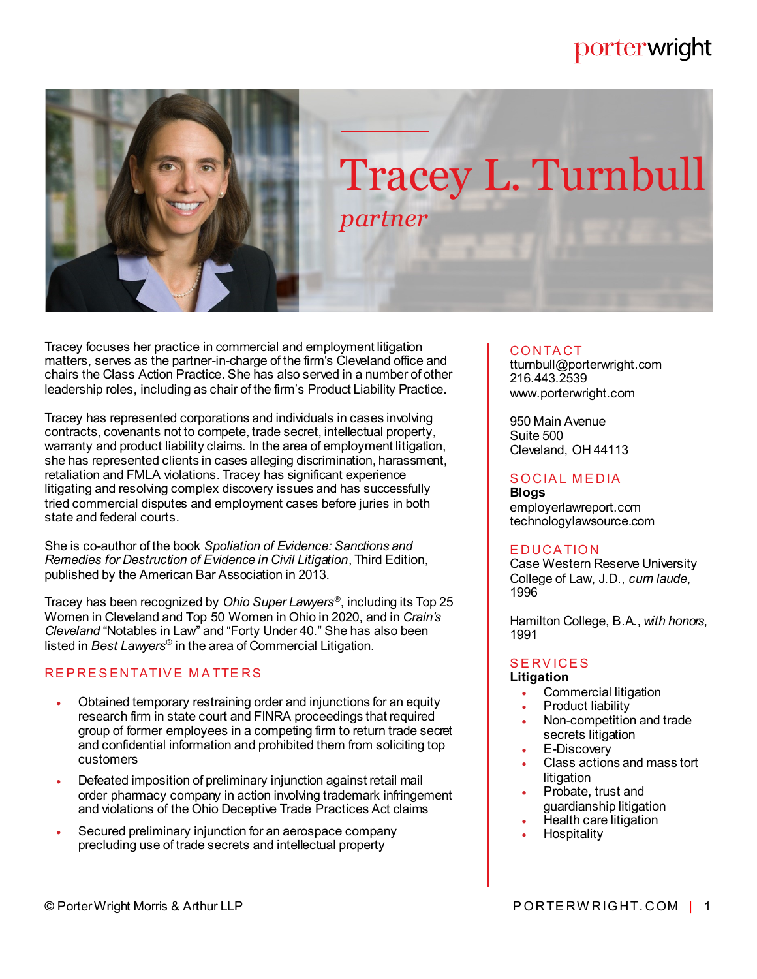# porterwright



Tracey focuses her practice in commercial and employment litigation matters, serves as the partner-in-charge of the firm's Cleveland office and chairs the Class Action Practice. She has also served in a number of other leadership roles, including as chair of the firm's Product Liability Practice.

Tracey has represented corporations and individuals in cases involving contracts, covenants not to compete, trade secret, intellectual property, warranty and product liability claims. In the area of employment litigation, she has represented clients in cases alleging discrimination, harassment, retaliation and FMLA violations. Tracey has significant experience litigating and resolving complex discovery issues and has successfully tried commercial disputes and employment cases before juries in both state and federal courts.

She is co-author of the book *Spoliation of Evidence: Sanctions and Remedies for Destruction of Evidence in Civil Litigation*, Third Edition, published by the American Bar Association in 2013.

Tracey has been recognized by *Ohio Super Lawyers*® , including its Top 25 Women in Cleveland and Top 50 Women in Ohio in 2020, and in *Crain's Cleveland* "Notables in Law" and "Forty Under 40." She has also been listed in *Best Lawyers*® in the area of Commercial Litigation.

# REPRESENTATIVE MATTERS

- Obtained temporary restraining order and injunctions for an equity research firm in state court and FINRA proceedings that required group of former employees in a competing firm to return trade secret and confidential information and prohibited them from soliciting top customers
- Defeated imposition of preliminary injunction against retail mail order pharmacy company in action involving trademark infringement and violations of the Ohio Deceptive Trade Practices Act claims
- Secured preliminary injunction for an aerospace company precluding use of trade secrets and intellectual property

## CO NTA CT

tturnbull@porterwright.com 216.443.2539 www.porterwright.com

950 Main Avenue Suite 500 Cleveland, OH 44113

# SOCIAL MEDIA

**Blogs** employerlawreport.com technologylawsource.com

# **EDUCATION**

Case Western Reserve University College of Law, J.D., *cum laude*, 1996

Hamilton College, B.A., *with honors*, 1991

# **SERVICES**

# **Litigation**

- Commercial litigation
- Product liability
- Non-competition and trade secrets litigation
- E-Discovery
- Class actions and mass tort **litigation**
- Probate, trust and guardianship litigation
- Health care litigation
- **Hospitality**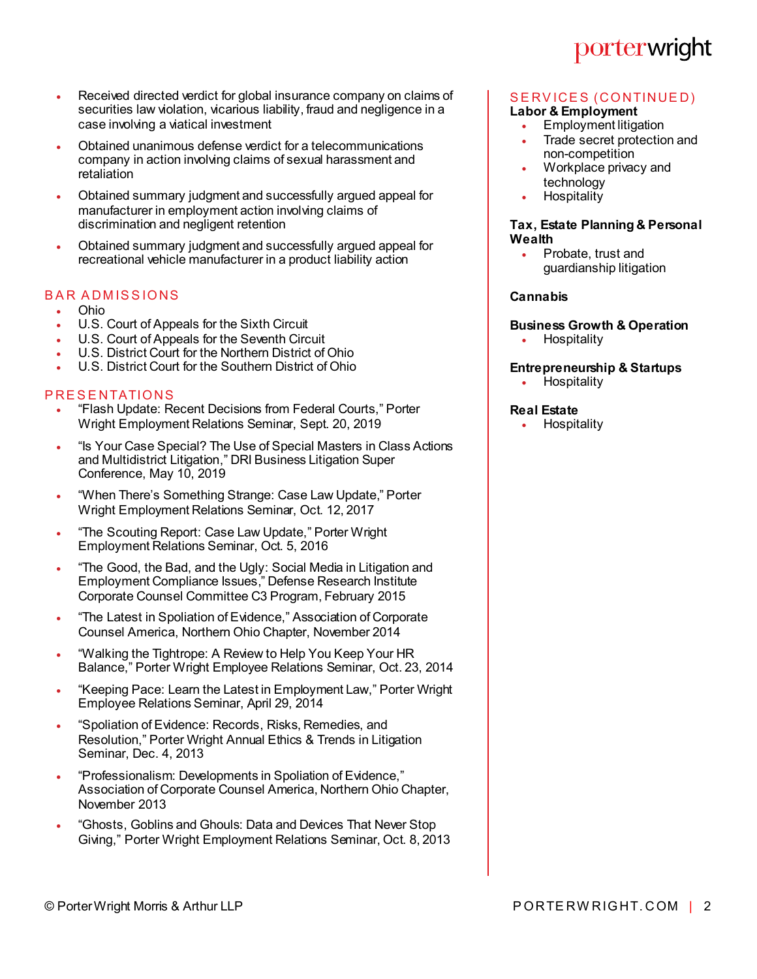- Received directed verdict for global insurance company on claims of securities law violation, vicarious liability, fraud and negligence in a case involving a viatical investment
- Obtained unanimous defense verdict for a telecommunications company in action involving claims of sexual harassment and retaliation
- Obtained summary judgment and successfully argued appeal for manufacturer in employment action involving claims of discrimination and negligent retention
- Obtained summary judgment and successfully argued appeal for recreational vehicle manufacturer in a product liability action

## **BAR ADMISSIONS**

- Ohio
- U.S. Court of Appeals for the Sixth Circuit
- U.S. Court of Appeals for the Seventh Circuit
- U.S. District Court for the Northern District of Ohio
- U.S. District Court for the Southern District of Ohio

### **PRESENTATIONS**

- "Flash Update: Recent Decisions from Federal Courts," Porter Wright Employment Relations Seminar, Sept. 20, 2019
- "Is Your Case Special? The Use of Special Masters in Class Actions and Multidistrict Litigation," DRI Business Litigation Super Conference, May 10, 2019
- "When There's Something Strange: Case Law Update," Porter Wright Employment Relations Seminar, Oct. 12, 2017
- . "The Scouting Report: Case Law Update," Porter Wright Employment Relations Seminar, Oct. 5, 2016
- . "The Good, the Bad, and the Ugly: Social Media in Litigation and Employment Compliance Issues," Defense Research Institute Corporate Counsel Committee C3 Program, February 2015
- . "The Latest in Spoliation of Evidence," Association of Corporate Counsel America, Northern Ohio Chapter, November 2014
- "Walking the Tightrope: A Review to Help You Keep Your HR Balance," Porter Wright Employee Relations Seminar, Oct. 23, 2014
- "Keeping Pace: Learn the Latest in Employment Law," Porter Wright Employee Relations Seminar, April 29, 2014
- "Spoliation of Evidence: Records, Risks, Remedies, and Resolution," Porter Wright Annual Ethics & Trends in Litigation Seminar, Dec. 4, 2013
- "Professionalism: Developments in Spoliation of Evidence," Association of Corporate Counsel America, Northern Ohio Chapter, November 2013
- "Ghosts, Goblins and Ghouls: Data and Devices That Never Stop Giving," Porter Wright Employment Relations Seminar, Oct. 8, 2013

# porterwright

#### SERVICES (CONTINUED) **Labor & Employment**

- Employment litigation
- Trade secret protection and non-competition
- Workplace privacy and technology
- **Hospitality**

#### **Tax, Estate Planning & Personal Wealth**

 Probate, trust and guardianship litigation

#### **Cannabis**

# **Business Growth & Operation**

Hospitality

## **Entrepreneurship & Startups**

• Hospitality

#### **Real Estate**

**Hospitality**